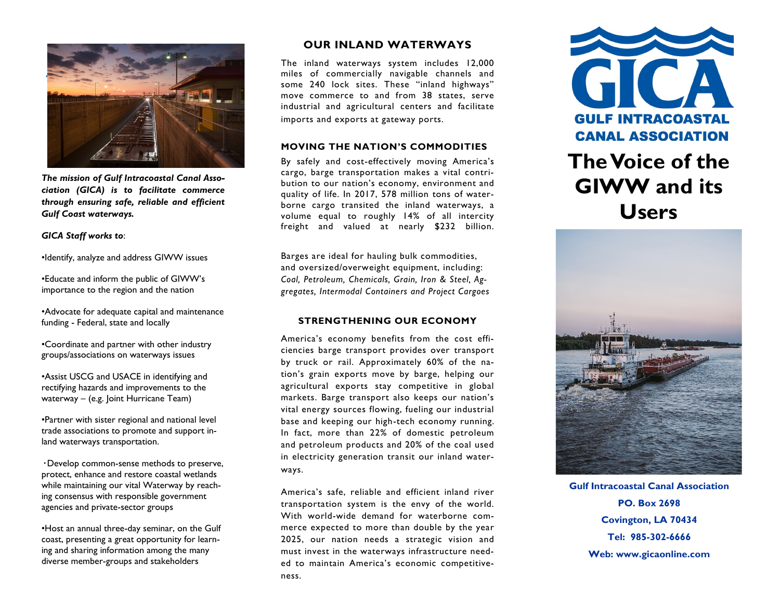

*The mission of Gulf Intracoastal Canal Association (GICA) is to facilitate commerce through ensuring safe, reliable and efficient Gulf Coast waterways.*

### *GICA Staff works to*:

•Identify, analyze and address GIWW issues

•Educate and inform the public of GIWW's importance to the region and the nation

•Advocate for adequate capital and maintenance funding - Federal, state and locally

•Coordinate and partner with other industry groups/associations on waterways issues

•Assist USCG and USACE in identifying and rectifying hazards and improvements to the waterway – (e.g. Joint Hurricane Team)

•Partner with sister regional and national level trade associations to promote and support inland waterways transportation.

**·** Develop common-sense methods to preserve, protect, enhance and restore coastal wetlands while maintaining our vital Waterway by reaching consensus with responsible government agencies and private-sector groups

•Host an annual three-day seminar, on the Gulf coast, presenting a great opportunity for learning and sharing information among the many diverse member-groups and stakeholders

### **OUR INLAND WATERWAYS**

The inland waterways system includes 12,000 miles of commercially navigable channels and some 240 lock sites. These "inland highways" move commerce to and from 38 states, serve industrial and agricultural centers and facilitate imports and exports at gateway ports.

### **MOVING THE NATION'S COMMODITIES**

By safely and cost-effectively moving America's cargo, barge transportation makes a vital contribution to our nation's economy, environment and quality of life. In 2017, 578 million tons of waterborne cargo transited the inland waterways, a volume equal to roughly 14% of all intercity freight and valued at nearly \$232 billion.

Barges are ideal for hauling bulk commodities, and oversized/overweight equipment, including: *Coal, Petroleum, Chemicals, Grain, Iron & Steel, Aggregates, Intermodal Containers and Project Cargoes*

### **STRENGTHENING OUR ECONOMY**

America's economy benefits from the cost efficiencies barge transport provides over transport by truck or rail. Approximately 60% of the nation's grain exports move by barge, helping our agricultural exports stay competitive in global markets. Barge transport also keeps our nation's vital energy sources flowing, fueling our industrial base and keeping our high-tech economy running. In fact, more than 22% of domestic petroleum and petroleum products and 20% of the coal used in electricity generation transit our inland waterways.

America's safe, reliable and efficient inland river transportation system is the envy of the world. With world-wide demand for waterborne commerce expected to more than double by the year 2025, our nation needs a strategic vision and must invest in the waterways infrastructure needed to maintain America's economic competitiveness.





**Gulf Intracoastal Canal Association PO. Box 2698 Covington, LA 70434 Tel: 985-302-6666 Web: www.gicaonline.com**